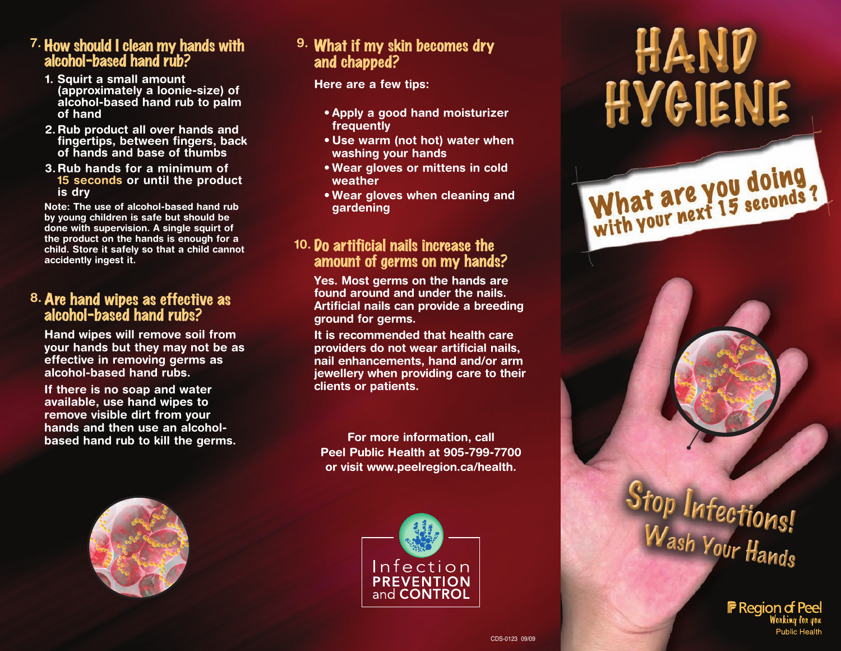#### **7.** How should I clean my hands with alcohol-based hand rub?

- **1. Squirt a small amount (approximately a loonie-size) of alcohol-based hand rub to palm of hand**
- **2. Rub product all over hands and fingertips, between fingers, back of hands and base of thumbs**
- **3.Rub hands for a minimum of 15 seconds or until the product is dry**

**Note: The use of alcohol-based hand rub by young children is safe but should be done with supervision. A single squirt of the product on the hands is enough for a child. Store it safely so that a child cannot accidently ingest it.**

#### **8.** Are hand wipes as effective as alcohol-based hand rubs?

**Hand wipes will remove soil from your hands but they may not be as effective in removing germs as alcohol-based hand rubs.**

**If there is no soap and water available, use hand wipes to remove visible dirt from your hands and then use an alcoholbased hand rub to kill the germs.**



#### **9.** What if my skin becomes dry and chapped?

**Here are a few tips:**

- **Apply a good hand moisturizer frequently**
- **Use warm (not hot) water when washing your hands**
- **Wear gloves or mittens in cold weather**
- **Wear gloves when cleaning and gardening**

## **10.** Do artificial nails increase the amount of germs on my hands?

**Yes. Most germs on the hands are found around and under the nails. Artificial nails can provide a breeding ground for germs.**

**It is recommended that health care providers do not wear artificial nails, nail enhancements, hand and/or arm jewellery when providing care to their clients or patients.**

**For more information, call Peel Public Health at 905-799-7700 or visit www.peelregion.ca/health.**



# HAND HVGIENE

What are you doing,



**F** Region of Peel Working for you Public Health